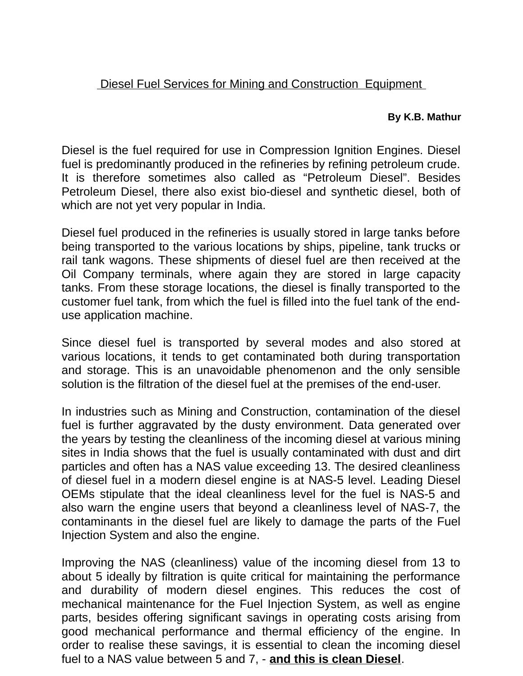## Diesel Fuel Services for Mining and Construction Equipment

## **By K.B. Mathur**

Diesel is the fuel required for use in Compression Ignition Engines. Diesel fuel is predominantly produced in the refineries by refining petroleum crude. It is therefore sometimes also called as "Petroleum Diesel". Besides Petroleum Diesel, there also exist bio-diesel and synthetic diesel, both of which are not yet very popular in India.

Diesel fuel produced in the refineries is usually stored in large tanks before being transported to the various locations by ships, pipeline, tank trucks or rail tank wagons. These shipments of diesel fuel are then received at the Oil Company terminals, where again they are stored in large capacity tanks. From these storage locations, the diesel is finally transported to the customer fuel tank, from which the fuel is filled into the fuel tank of the enduse application machine.

Since diesel fuel is transported by several modes and also stored at various locations, it tends to get contaminated both during transportation and storage. This is an unavoidable phenomenon and the only sensible solution is the filtration of the diesel fuel at the premises of the end-user.

In industries such as Mining and Construction, contamination of the diesel fuel is further aggravated by the dusty environment. Data generated over the years by testing the cleanliness of the incoming diesel at various mining sites in India shows that the fuel is usually contaminated with dust and dirt particles and often has a NAS value exceeding 13. The desired cleanliness of diesel fuel in a modern diesel engine is at NAS-5 level. Leading Diesel OEMs stipulate that the ideal cleanliness level for the fuel is NAS-5 and also warn the engine users that beyond a cleanliness level of NAS-7, the contaminants in the diesel fuel are likely to damage the parts of the Fuel Injection System and also the engine.

Improving the NAS (cleanliness) value of the incoming diesel from 13 to about 5 ideally by filtration is quite critical for maintaining the performance and durability of modern diesel engines. This reduces the cost of mechanical maintenance for the Fuel Injection System, as well as engine parts, besides offering significant savings in operating costs arising from good mechanical performance and thermal efficiency of the engine. In order to realise these savings, it is essential to clean the incoming diesel fuel to a NAS value between 5 and 7, - **and this is clean Diesel**.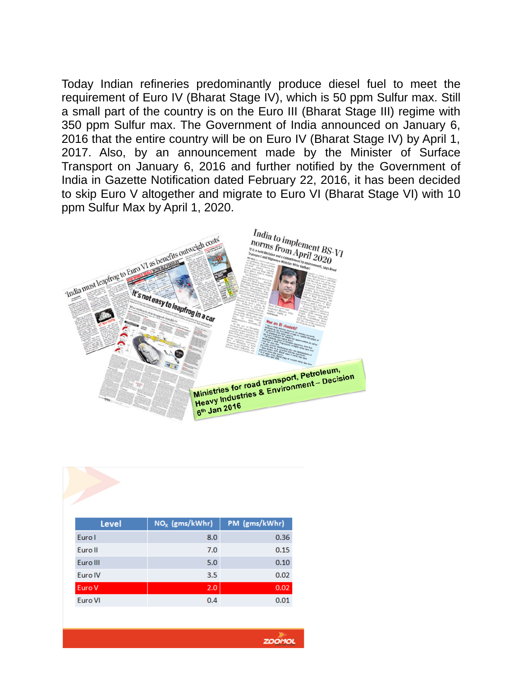Today Indian refineries predominantly produce diesel fuel to meet the requirement of Euro IV (Bharat Stage IV), which is 50 ppm Sulfur max. Still a small part of the country is on the Euro III (Bharat Stage III) regime with 350 ppm Sulfur max. The Government of India announced on January 6, 2016 that the entire country will be on Euro IV (Bharat Stage IV) by April 1, 2017. Also, by an announcement made by the Minister of Surface Transport on January 6, 2016 and further notified by the Government of India in Gazette Notification dated February 22, 2016, it has been decided to skip Euro V altogether and migrate to Euro VI (Bharat Stage VI) with 10 ppm Sulfur Max by April 1, 2020.



| $NOx$ (gms/kWhr) | PM (gms/kWhr) |
|------------------|---------------|
| 8.0              | 0.36          |
| 7.0              | 0.15          |
| 5.0              | 0.10          |
| 3.5              | 0.02          |
| 2.0              | 0.02          |
| 0.4              | 0.01          |
|                  |               |

**ZOOMOL**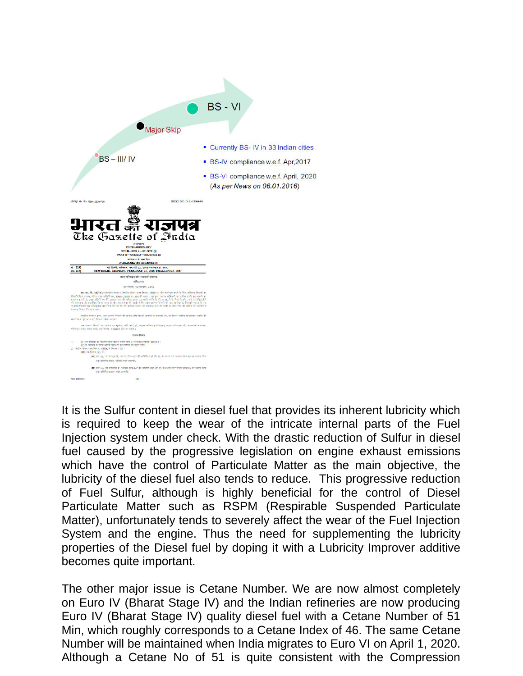

It is the Sulfur content in diesel fuel that provides its inherent lubricity which is required to keep the wear of the intricate internal parts of the Fuel Injection system under check. With the drastic reduction of Sulfur in diesel fuel caused by the progressive legislation on engine exhaust emissions which have the control of Particulate Matter as the main objective, the lubricity of the diesel fuel also tends to reduce. This progressive reduction of Fuel Sulfur, although is highly beneficial for the control of Diesel Particulate Matter such as RSPM (Respirable Suspended Particulate Matter), unfortunately tends to severely affect the wear of the Fuel Injection System and the engine. Thus the need for supplementing the lubricity properties of the Diesel fuel by doping it with a Lubricity Improver additive becomes quite important.

The other major issue is Cetane Number. We are now almost completely on Euro IV (Bharat Stage IV) and the Indian refineries are now producing Euro IV (Bharat Stage IV) quality diesel fuel with a Cetane Number of 51 Min, which roughly corresponds to a Cetane Index of 46. The same Cetane Number will be maintained when India migrates to Euro VI on April 1, 2020. Although a Cetane No of 51 is quite consistent with the Compression